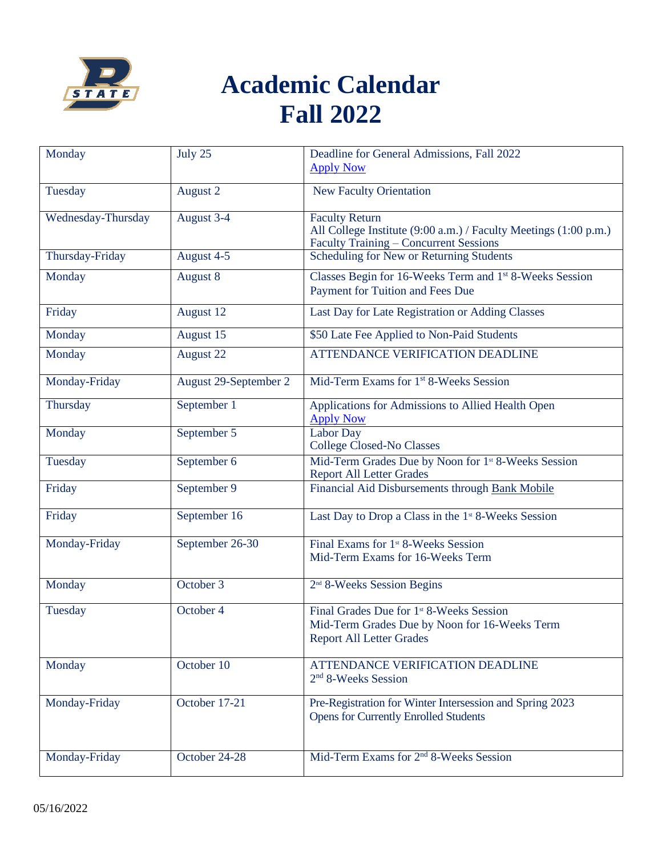

## **Academic Calendar Fall 2022**

| Monday             | July 25               | Deadline for General Admissions, Fall 2022                                                                                                 |
|--------------------|-----------------------|--------------------------------------------------------------------------------------------------------------------------------------------|
|                    |                       | <b>Apply Now</b>                                                                                                                           |
| Tuesday            | August 2              | <b>New Faculty Orientation</b>                                                                                                             |
| Wednesday-Thursday | August 3-4            | <b>Faculty Return</b><br>All College Institute (9:00 a.m.) / Faculty Meetings (1:00 p.m.)<br><b>Faculty Training - Concurrent Sessions</b> |
| Thursday-Friday    | August 4-5            | Scheduling for New or Returning Students                                                                                                   |
| Monday             | August 8              | Classes Begin for 16-Weeks Term and 1st 8-Weeks Session<br>Payment for Tuition and Fees Due                                                |
| Friday             | August 12             | Last Day for Late Registration or Adding Classes                                                                                           |
| Monday             | August 15             | \$50 Late Fee Applied to Non-Paid Students                                                                                                 |
| Monday             | August 22             | <b>ATTENDANCE VERIFICATION DEADLINE</b>                                                                                                    |
| Monday-Friday      | August 29-September 2 | Mid-Term Exams for 1 <sup>st</sup> 8-Weeks Session                                                                                         |
| Thursday           | September 1           | Applications for Admissions to Allied Health Open<br><b>Apply Now</b>                                                                      |
| Monday             | September 5           | <b>Labor Day</b><br><b>College Closed-No Classes</b>                                                                                       |
| Tuesday            | September 6           | Mid-Term Grades Due by Noon for 1 <sup>st</sup> 8-Weeks Session<br><b>Report All Letter Grades</b>                                         |
| Friday             | September 9           | Financial Aid Disbursements through Bank Mobile                                                                                            |
| Friday             | September 16          | Last Day to Drop a Class in the 1 <sup>st</sup> 8-Weeks Session                                                                            |
| Monday-Friday      | September 26-30       | Final Exams for 1 <sup>st</sup> 8-Weeks Session<br>Mid-Term Exams for 16-Weeks Term                                                        |
| Monday             | October 3             | 2 <sup>nd</sup> 8-Weeks Session Begins                                                                                                     |
| Tuesday            | October 4             | Final Grades Due for 1 <sup>st</sup> 8-Weeks Session<br>Mid-Term Grades Due by Noon for 16-Weeks Term<br><b>Report All Letter Grades</b>   |
| Monday             | October 10            | ATTENDANCE VERIFICATION DEADLINE<br>2 <sup>nd</sup> 8-Weeks Session                                                                        |
| Monday-Friday      | October 17-21         | Pre-Registration for Winter Intersession and Spring 2023<br><b>Opens for Currently Enrolled Students</b>                                   |
| Monday-Friday      | October 24-28         | Mid-Term Exams for 2 <sup>nd</sup> 8-Weeks Session                                                                                         |